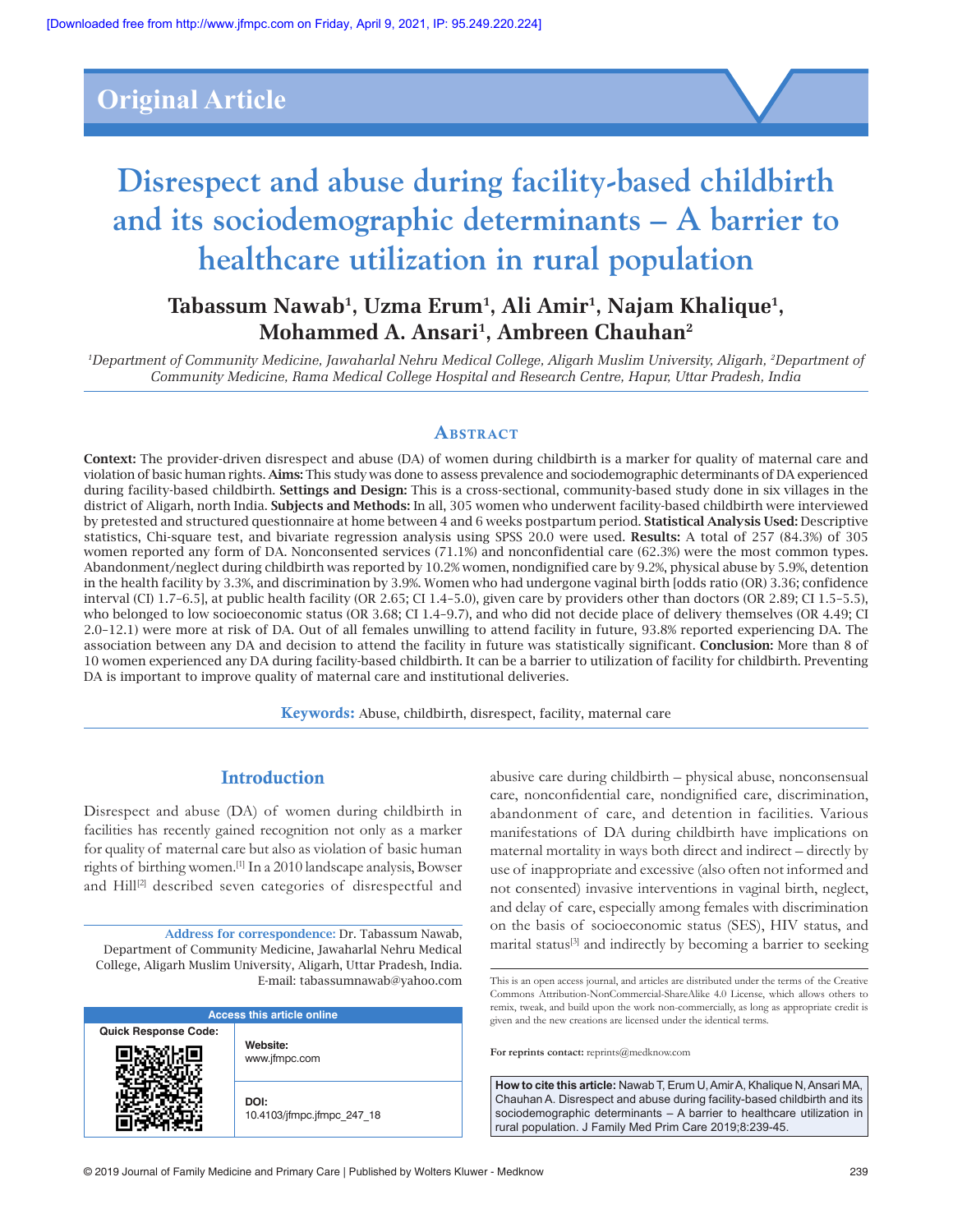## **Original Article**



# **Disrespect and abuse during facility‑based childbirth and its sociodemographic determinants – A barrier to healthcare utilization in rural population**

### **Tabassum Nawab1 , Uzma Erum1 , Ali Amir1 , Najam Khalique1 , Mohammed A. Ansari1 , Ambreen Chauhan2**

*1 Department of Community Medicine, Jawaharlal Nehru Medical College, Aligarh Muslim University, Aligarh, 2 Department of Community Medicine, Rama Medical College Hospital and Research Centre, Hapur, Uttar Pradesh, India*

#### **ABSTRACT**

Context: The provider‑driven disrespect and abuse (DA) of women during childbirth is a marker for quality of maternal care and violation of basic human rights. Aims: This study was done to assess prevalence and sociodemographic determinants of DA experienced during facility-based childbirth. Settings and Design: This is a cross-sectional, community-based study done in six villages in the district of Aligarh, north India. Subjects and Methods: In all, 305 women who underwent facility-based childbirth were interviewed by pretested and structured questionnaire at home between 4 and 6 weeks postpartum period. Statistical Analysis Used: Descriptive statistics, Chi-square test, and bivariate regression analysis using SPSS 20.0 were used. Results: A total of 257 (84.3%) of 305 women reported any form of DA. Nonconsented services (71.1%) and nonconfidential care (62.3%) were the most common types. Abandonment/neglect during childbirth was reported by 10.2% women, nondignified care by 9.2%, physical abuse by 5.9%, detention in the health facility by 3.3%, and discrimination by 3.9%. Women who had undergone vaginal birth [odds ratio (OR) 3.36; confidence interval (CI) 1.7–6.5], at public health facility (OR 2.65; CI 1.4–5.0), given care by providers other than doctors (OR 2.89; CI 1.5–5.5), who belonged to low socioeconomic status (OR 3.68; CI 1.4–9.7), and who did not decide place of delivery themselves (OR 4.49; CI 2.0–12.1) were more at risk of DA. Out of all females unwilling to attend facility in future, 93.8% reported experiencing DA. The association between any DA and decision to attend the facility in future was statistically significant. Conclusion: More than 8 of 10 women experienced any DA during facility‑based childbirth. It can be a barrier to utilization of facility for childbirth. Preventing DA is important to improve quality of maternal care and institutional deliveries.

Keywords: Abuse, childbirth, disrespect, facility, maternal care

#### **Introduction**

Disrespect and abuse (DA) of women during childbirth in facilities has recently gained recognition not only as a marker for quality of maternal care but also as violation of basic human rights of birthing women.[1] In a 2010 landscape analysis, Bowser and Hill<sup>[2]</sup> described seven categories of disrespectful and

Address for correspondence: Dr. Tabassum Nawab, Department of Community Medicine, Jawaharlal Nehru Medical College, Aligarh Muslim University, Aligarh, Uttar Pradesh, India. E‑mail: tabassumnawab@yahoo.com

| <b>Access this article online</b> |                                    |  |  |
|-----------------------------------|------------------------------------|--|--|
| <b>Quick Response Code:</b>       | Website:<br>www.jfmpc.com          |  |  |
|                                   | DOI:<br>10.4103/jfmpc.jfmpc 247 18 |  |  |

abusive care during childbirth – physical abuse, nonconsensual care, nonconfidential care, nondignified care, discrimination, abandonment of care, and detention in facilities. Various manifestations of DA during childbirth have implications on maternal mortality in ways both direct and indirect – directly by use of inappropriate and excessive (also often not informed and not consented) invasive interventions in vaginal birth, neglect, and delay of care, especially among females with discrimination on the basis of socioeconomic status (SES), HIV status, and marital status<sup>[3]</sup> and indirectly by becoming a barrier to seeking

**For reprints contact:** reprints@medknow.com

**How to cite this article:** Nawab T, Erum U, Amir A, Khalique N, Ansari MA, Chauhan A. Disrespect and abuse during facility-based childbirth and its sociodemographic determinants – A barrier to healthcare utilization in rural population. J Family Med Prim Care 2019;8:239-45.

This is an open access journal, and articles are distributed under the terms of the Creative Commons Attribution-NonCommercial-ShareAlike 4.0 License, which allows others to remix, tweak, and build upon the work non-commercially, as long as appropriate credit is given and the new creations are licensed under the identical terms.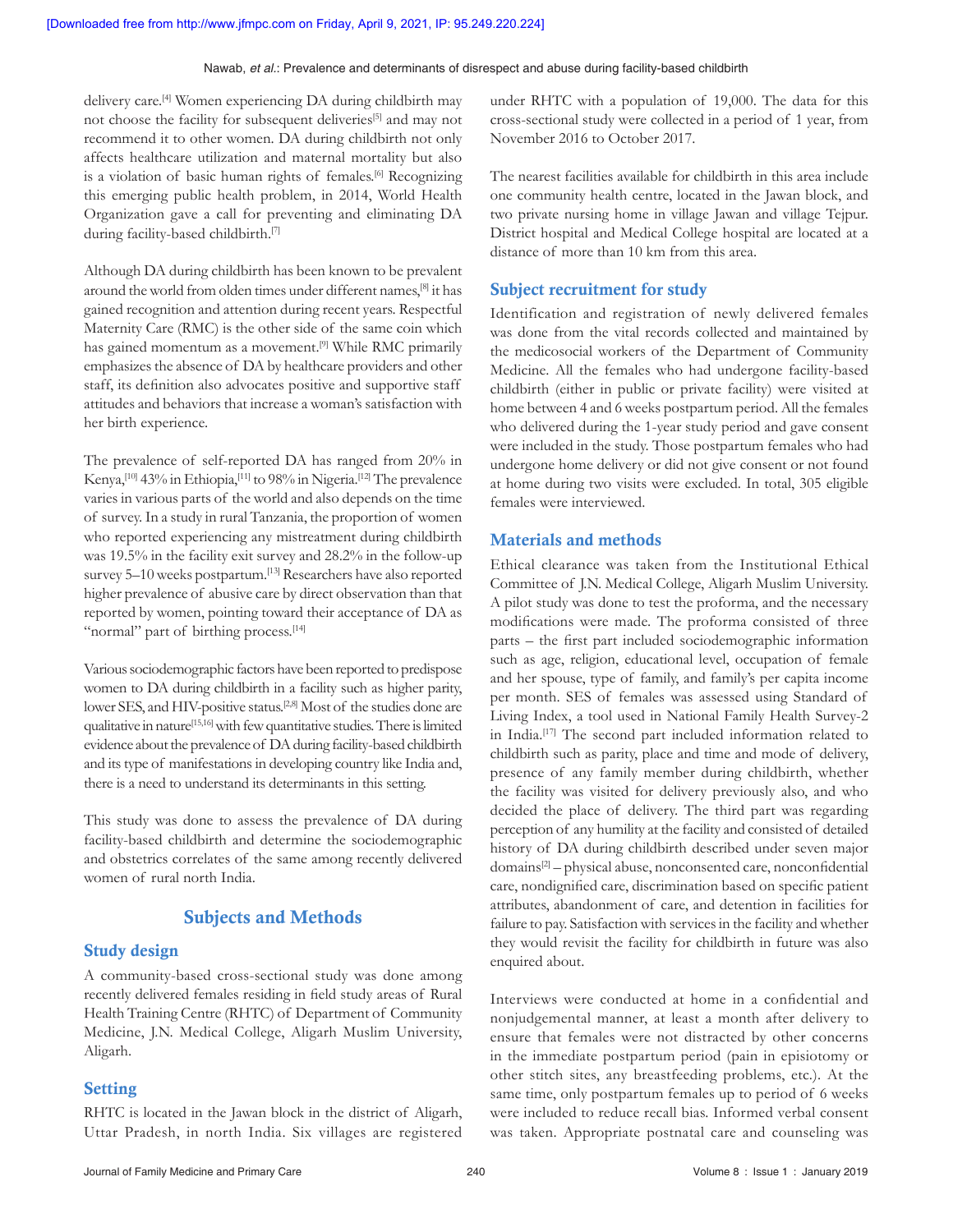delivery care.[4] Women experiencing DA during childbirth may not choose the facility for subsequent deliveries<sup>[5]</sup> and may not recommend it to other women. DA during childbirth not only affects healthcare utilization and maternal mortality but also is a violation of basic human rights of females.<sup>[6]</sup> Recognizing this emerging public health problem, in 2014, World Health Organization gave a call for preventing and eliminating DA during facility-based childbirth.<sup>[7]</sup>

Although DA during childbirth has been known to be prevalent around the world from olden times under different names,[8] it has gained recognition and attention during recent years. Respectful Maternity Care (RMC) is the other side of the same coin which has gained momentum as a movement.<sup>[9]</sup> While RMC primarily emphasizes the absence of DA by healthcare providers and other staff, its definition also advocates positive and supportive staff attitudes and behaviors that increase a woman's satisfaction with her birth experience.

The prevalence of self-reported DA has ranged from 20% in Kenya,[10] 43% in Ethiopia,[11] to 98% in Nigeria.[12] The prevalence varies in various parts of the world and also depends on the time of survey. In a study in rural Tanzania, the proportion of women who reported experiencing any mistreatment during childbirth was 19.5% in the facility exit survey and 28.2% in the follow‑up survey 5–10 weeks postpartum.<sup>[13]</sup> Researchers have also reported higher prevalence of abusive care by direct observation than that reported by women, pointing toward their acceptance of DA as "normal" part of birthing process.<sup>[14]</sup>

Various sociodemographic factors have been reported to predispose women to DA during childbirth in a facility such as higher parity, lower SES, and HIV-positive status.<sup>[2,8]</sup> Most of the studies done are qualitative in nature[15,16] with few quantitative studies. There is limited evidence about the prevalence of DA during facility-based childbirth and its type of manifestations in developing country like India and, there is a need to understand its determinants in this setting.

This study was done to assess the prevalence of DA during facility-based childbirth and determine the sociodemographic and obstetrics correlates of the same among recently delivered women of rural north India.

#### Subjects and Methods

#### Study design

A community‑based cross‑sectional study was done among recently delivered females residing in field study areas of Rural Health Training Centre (RHTC) of Department of Community Medicine, J.N. Medical College, Aligarh Muslim University, Aligarh.

#### **Setting**

RHTC is located in the Jawan block in the district of Aligarh, Uttar Pradesh, in north India. Six villages are registered under RHTC with a population of 19,000. The data for this cross‑sectional study were collected in a period of 1 year, from November 2016 to October 2017.

The nearest facilities available for childbirth in this area include one community health centre, located in the Jawan block, and two private nursing home in village Jawan and village Tejpur. District hospital and Medical College hospital are located at a distance of more than 10 km from this area.

#### Subject recruitment for study

Identification and registration of newly delivered females was done from the vital records collected and maintained by the medicosocial workers of the Department of Community Medicine. All the females who had undergone facility-based childbirth (either in public or private facility) were visited at home between 4 and 6 weeks postpartum period. All the females who delivered during the 1-year study period and gave consent were included in the study. Those postpartum females who had undergone home delivery or did not give consent or not found at home during two visits were excluded. In total, 305 eligible females were interviewed.

#### Materials and methods

Ethical clearance was taken from the Institutional Ethical Committee of J.N. Medical College, Aligarh Muslim University. A pilot study was done to test the proforma, and the necessary modifications were made. The proforma consisted of three parts – the first part included sociodemographic information such as age, religion, educational level, occupation of female and her spouse, type of family, and family's per capita income per month. SES of females was assessed using Standard of Living Index, a tool used in National Family Health Survey-2 in India.[17] The second part included information related to childbirth such as parity, place and time and mode of delivery, presence of any family member during childbirth, whether the facility was visited for delivery previously also, and who decided the place of delivery. The third part was regarding perception of any humility at the facility and consisted of detailed history of DA during childbirth described under seven major domains[2] – physical abuse, nonconsented care, nonconfidential care, nondignified care, discrimination based on specific patient attributes, abandonment of care, and detention in facilities for failure to pay. Satisfaction with services in the facility and whether they would revisit the facility for childbirth in future was also enquired about.

Interviews were conducted at home in a confidential and nonjudgemental manner, at least a month after delivery to ensure that females were not distracted by other concerns in the immediate postpartum period (pain in episiotomy or other stitch sites, any breastfeeding problems, etc.). At the same time, only postpartum females up to period of 6 weeks were included to reduce recall bias. Informed verbal consent was taken. Appropriate postnatal care and counseling was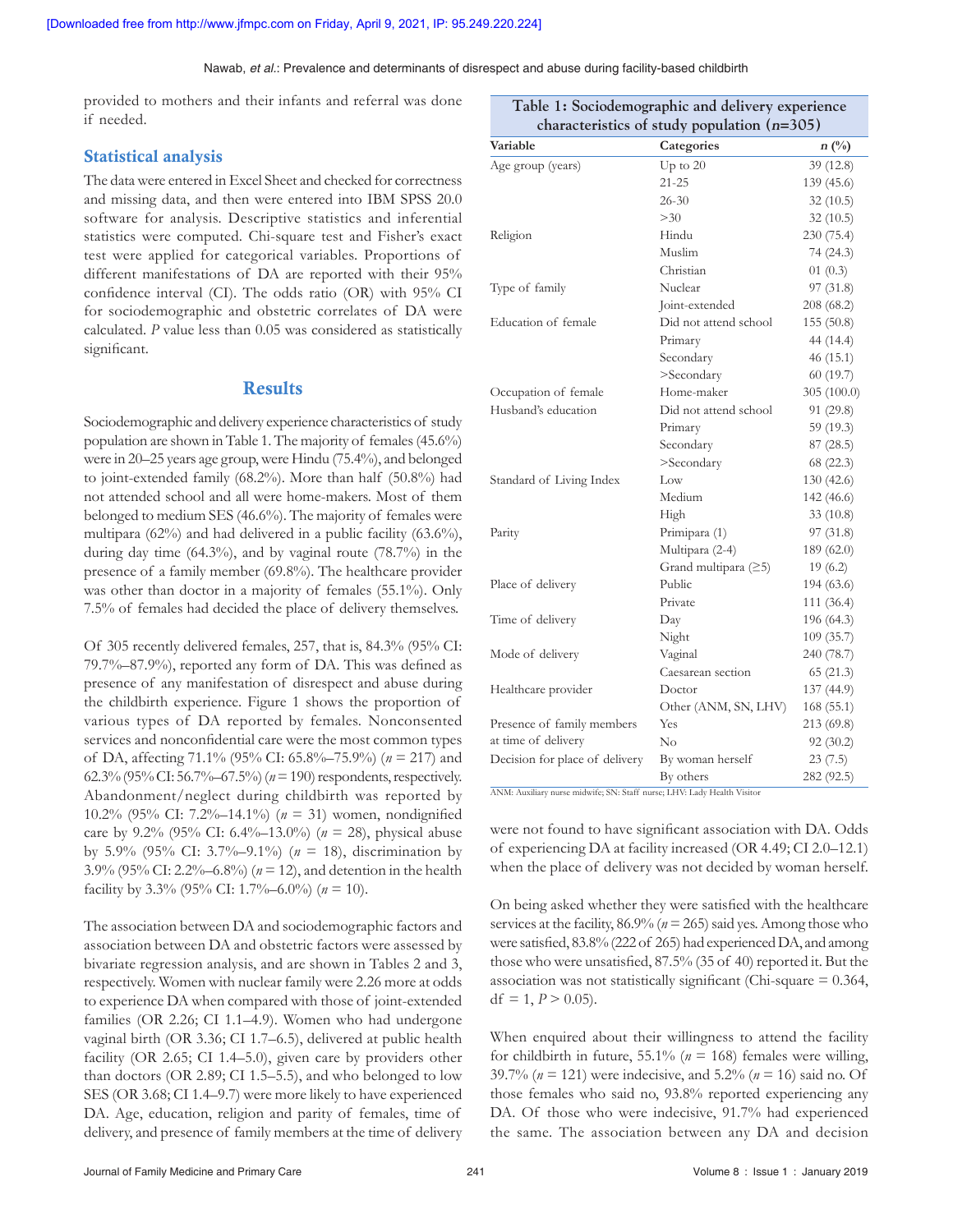provided to mothers and their infants and referral was done if needed.

#### Statistical analysis

The data were entered in Excel Sheet and checked for correctness and missing data, and then were entered into IBM SPSS 20.0 software for analysis. Descriptive statistics and inferential statistics were computed. Chi‑square test and Fisher's exact test were applied for categorical variables. Proportions of different manifestations of DA are reported with their 95% confidence interval (CI). The odds ratio (OR) with 95% CI for sociodemographic and obstetric correlates of DA were calculated. *P* value less than 0.05 was considered as statistically significant.

#### **Results**

Sociodemographic and delivery experience characteristics of study population are shown in Table 1. The majority of females(45.6%) were in 20–25 years age group, were Hindu (75.4%), and belonged to joint-extended family (68.2%). More than half (50.8%) had not attended school and all were home‑makers. Most of them belonged to medium SES (46.6%). The majority of females were multipara (62%) and had delivered in a public facility (63.6%), during day time (64.3%), and by vaginal route (78.7%) in the presence of a family member (69.8%). The healthcare provider was other than doctor in a majority of females (55.1%). Only 7.5% of females had decided the place of delivery themselves.

Of 305 recently delivered females, 257, that is, 84.3% (95% CI: 79.7%–87.9%), reported any form of DA. This was defined as presence of any manifestation of disrespect and abuse during the childbirth experience. Figure 1 shows the proportion of various types of DA reported by females. Nonconsented services and nonconfidential care were the most common types of DA, affecting 71.1% (95% CI: 65.8%–75.9%) (*n* = 217) and 62.3%(95% CI: 56.7%–67.5%)(*n*=190) respondents, respectively. Abandonment/neglect during childbirth was reported by 10.2% (95% CI: 7.2%–14.1%) (*n* = 31) women, nondignified care by 9.2% (95% CI: 6.4%–13.0%) (*n* = 28), physical abuse by 5.9% (95% CI: 3.7%–9.1%) (*n* = 18), discrimination by 3.9% (95% CI: 2.2%–6.8%) (*n* = 12), and detention in the health facility by 3.3% (95% CI: 1.7%–6.0%) (*n* = 10).

The association between DA and sociodemographic factors and association between DA and obstetric factors were assessed by bivariate regression analysis, and are shown in Tables 2 and 3, respectively. Women with nuclear family were 2.26 more at odds to experience DA when compared with those of joint-extended families (OR 2.26; CI 1.1–4.9). Women who had undergone vaginal birth (OR 3.36; CI 1.7–6.5), delivered at public health facility (OR 2.65; CI 1.4–5.0), given care by providers other than doctors (OR 2.89; CI 1.5–5.5), and who belonged to low SES (OR 3.68; CI 1.4–9.7) were more likely to have experienced DA. Age, education, religion and parity of females, time of delivery, and presence of family members at the time of delivery

| characteristics of study population $(n=305)$ |                        |               |  |
|-----------------------------------------------|------------------------|---------------|--|
| Variable                                      | Categories             | $n(^{0}_{0})$ |  |
| Age group (years)                             | Up to $20$             | 39 (12.8)     |  |
|                                               | $21 - 25$              | 139 (45.6)    |  |
|                                               | $26 - 30$              | 32(10.5)      |  |
|                                               | >30                    | 32(10.5)      |  |
| Religion                                      | Hindu                  | 230 (75.4)    |  |
|                                               | Muslim                 | 74(24.3)      |  |
|                                               | Christian              | 01(0.3)       |  |
| Type of family                                | Nuclear                | 97(31.8)      |  |
|                                               | Joint-extended         | 208 (68.2)    |  |
| Education of female                           | Did not attend school  | 155 (50.8)    |  |
|                                               | Primary                | 44 (14.4)     |  |
|                                               | Secondary              | 46(15.1)      |  |
|                                               | >Secondary             | 60(19.7)      |  |
| Occupation of female                          | Home-maker             | 305 (100.0)   |  |
| Husband's education                           | Did not attend school  | 91 (29.8)     |  |
|                                               | Primary                | 59 (19.3)     |  |
|                                               | Secondary              | 87(28.5)      |  |
|                                               | >Secondary             | 68 (22.3)     |  |
| Standard of Living Index                      | Low                    | 130 (42.6)    |  |
|                                               | Medium                 | 142 (46.6)    |  |
|                                               | High                   | 33(10.8)      |  |
| Parity                                        | Primipara (1)          | 97(31.8)      |  |
|                                               | Multipara (2-4)        | 189 (62.0)    |  |
|                                               | Grand multipara $(≥5)$ | 19(6.2)       |  |
| Place of delivery                             | Public                 | 194 (63.6)    |  |
|                                               | Private                | 111 (36.4)    |  |
| Time of delivery                              | Day                    | 196 (64.3)    |  |
|                                               | Night                  | 109 (35.7)    |  |
| Mode of delivery                              | Vaginal                | 240 (78.7)    |  |
|                                               | Caesarean section      | 65(21.3)      |  |
| Healthcare provider                           | Doctor                 | 137 (44.9)    |  |
|                                               | Other (ANM, SN, LHV)   | 168 (55.1)    |  |
| Presence of family members                    | Yes                    | 213 (69.8)    |  |
| at time of delivery                           | $\rm No$               | 92(30.2)      |  |
| Decision for place of delivery                | By woman herself       | 23(7.5)       |  |
|                                               | By others              | 282 (92.5)    |  |

**Table 1: Sociodemographic and delivery experience** 

ANM: Auxiliary nurse midwife; SN: Staff nurse; LHV: Lady Health Visitor

were not found to have significant association with DA. Odds of experiencing DA at facility increased (OR 4.49; CI 2.0–12.1) when the place of delivery was not decided by woman herself.

On being asked whether they were satisfied with the healthcare services at the facility,  $86.9\%$  ( $n = 265$ ) said yes. Among those who were satisfied, 83.8%(222 of 265) had experienced DA, and among those who were unsatisfied, 87.5% (35 of 40) reported it. But the association was not statistically significant (Chi-square  $= 0.364$ , df = 1,  $P > 0.05$ ).

When enquired about their willingness to attend the facility for childbirth in future,  $55.1\%$  ( $n = 168$ ) females were willing, 39.7% (*n* = 121) were indecisive, and 5.2% (*n* = 16) said no. Of those females who said no, 93.8% reported experiencing any DA. Of those who were indecisive, 91.7% had experienced the same. The association between any DA and decision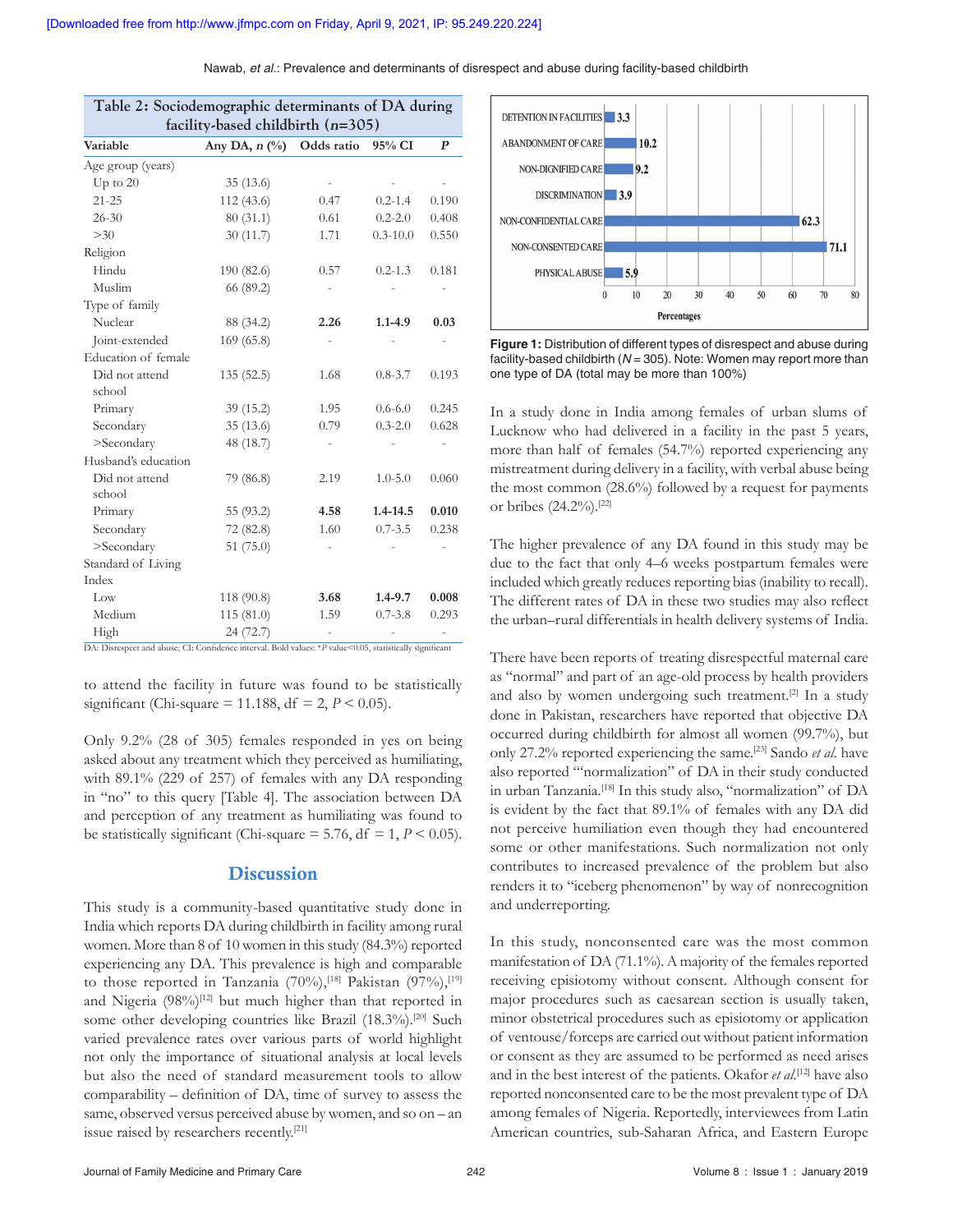| Table 2: Sociodemographic determinants of DA during<br>facility-based childbirth $(n=305)$ |                                        |            |              |                  |
|--------------------------------------------------------------------------------------------|----------------------------------------|------------|--------------|------------------|
| Variable                                                                                   | Any DA, $n$ $\left(\frac{0}{0}\right)$ | Odds ratio | 95% CI       | $\boldsymbol{P}$ |
| Age group (years)                                                                          |                                        |            |              |                  |
| $Up$ to $20$                                                                               | 35 (13.6)                              |            |              |                  |
| $21 - 25$                                                                                  | 112(43.6)                              | 0.47       | $0.2 - 1.4$  | 0.190            |
| $26 - 30$                                                                                  | 80(31.1)                               | 0.61       | $0.2 - 2.0$  | 0.408            |
| >30                                                                                        | 30(11.7)                               | 1.71       | $0.3 - 10.0$ | 0.550            |
| Religion                                                                                   |                                        |            |              |                  |
| Hindu                                                                                      | 190 (82.6)                             | 0.57       | $0.2 - 1.3$  | 0.181            |
| Muslim                                                                                     | 66 (89.2)                              |            |              |                  |
| Type of family                                                                             |                                        |            |              |                  |
| Nuclear                                                                                    | 88 (34.2)                              | 2.26       | $1.1 - 4.9$  | 0.03             |
| Joint-extended                                                                             | 169 (65.8)                             |            |              |                  |
| Education of female                                                                        |                                        |            |              |                  |
| Did not attend                                                                             | 135(52.5)                              | 1.68       | $0.8 - 3.7$  | 0.193            |
| school                                                                                     |                                        |            |              |                  |
| Primary                                                                                    | 39(15.2)                               | 1.95       | $0.6 - 6.0$  | 0.245            |
| Secondary                                                                                  | 35(13.6)                               | 0.79       | $0.3 - 2.0$  | 0.628            |
| >Secondary                                                                                 | 48 (18.7)                              |            |              |                  |
| Husband's education                                                                        |                                        |            |              |                  |
| Did not attend                                                                             | 79 (86.8)                              | 2.19       | $1.0 - 5.0$  | 0.060            |
| school                                                                                     |                                        |            |              |                  |
| Primary                                                                                    | 55 (93.2)                              | 4.58       | $1.4 - 14.5$ | 0.010            |
| Secondary                                                                                  | 72 (82.8)                              | 1.60       | $0.7 - 3.5$  | 0.238            |
| >Secondary                                                                                 | 51 $(75.0)$                            |            |              |                  |
| Standard of Living                                                                         |                                        |            |              |                  |
| Index                                                                                      |                                        |            |              |                  |
| Low                                                                                        | 118 (90.8)                             | 3.68       | $1.4 - 9.7$  | 0.008            |
| Medium                                                                                     | 115(81.0)                              | 1.59       | $0.7 - 3.8$  | 0.293            |
| High                                                                                       | 24 (72.7)                              |            |              |                  |

to attend the facility in future was found to be statistically significant (Chi-square = 11.188,  $df = 2, P < 0.05$ ).

Only 9.2% (28 of 305) females responded in yes on being asked about any treatment which they perceived as humiliating, with 89.1% (229 of 257) of females with any DA responding in "no" to this query [Table 4]. The association between DA and perception of any treatment as humiliating was found to be statistically significant (Chi-square  $= 5.76$ , df  $= 1, P < 0.05$ ).

#### **Discussion**

This study is a community-based quantitative study done in India which reports DA during childbirth in facility among rural women. More than 8 of 10 women in this study (84.3%) reported experiencing any DA. This prevalence is high and comparable to those reported in Tanzania  $(70\%)$ ,<sup>[18]</sup> Pakistan  $(97\%)$ ,<sup>[19]</sup> and Nigeria  $(98\%)^{[12]}$  but much higher than that reported in some other developing countries like Brazil (18.3%).<sup>[20]</sup> Such varied prevalence rates over various parts of world highlight not only the importance of situational analysis at local levels but also the need of standard measurement tools to allow comparability – definition of DA, time of survey to assess the same, observed versus perceived abuse by women, and so on – an issue raised by researchers recently.[21]



**Figure 1:** Distribution of different types of disrespect and abuse during facility-based childbirth (*N* = 305). Note: Women may report more than one type of DA (total may be more than 100%)

In a study done in India among females of urban slums of Lucknow who had delivered in a facility in the past 5 years, more than half of females (54.7%) reported experiencing any mistreatment during delivery in a facility, with verbal abuse being the most common (28.6%) followed by a request for payments or bribes (24.2%).[22]

The higher prevalence of any DA found in this study may be due to the fact that only 4–6 weeks postpartum females were included which greatly reduces reporting bias (inability to recall). The different rates of DA in these two studies may also reflect the urban–rural differentials in health delivery systems of India.

There have been reports of treating disrespectful maternal care as "normal" and part of an age‑old process by health providers and also by women undergoing such treatment.<sup>[2]</sup> In a study done in Pakistan, researchers have reported that objective DA occurred during childbirth for almost all women (99.7%), but only 27.2% reported experiencing the same.[23] Sando *et al*. have also reported "'normalization" of DA in their study conducted in urban Tanzania.[18] In this study also, "normalization" of DA is evident by the fact that 89.1% of females with any DA did not perceive humiliation even though they had encountered some or other manifestations. Such normalization not only contributes to increased prevalence of the problem but also renders it to "iceberg phenomenon" by way of nonrecognition and underreporting.

In this study, nonconsented care was the most common manifestation of DA (71.1%). A majority of the females reported receiving episiotomy without consent. Although consent for major procedures such as caesarean section is usually taken, minor obstetrical procedures such as episiotomy or application of ventouse/forceps are carried out without patient information or consent as they are assumed to be performed as need arises and in the best interest of the patients. Okafor *et al*. [12] have also reported nonconsented care to be the most prevalent type of DA among females of Nigeria. Reportedly, interviewees from Latin American countries, sub‑Saharan Africa, and Eastern Europe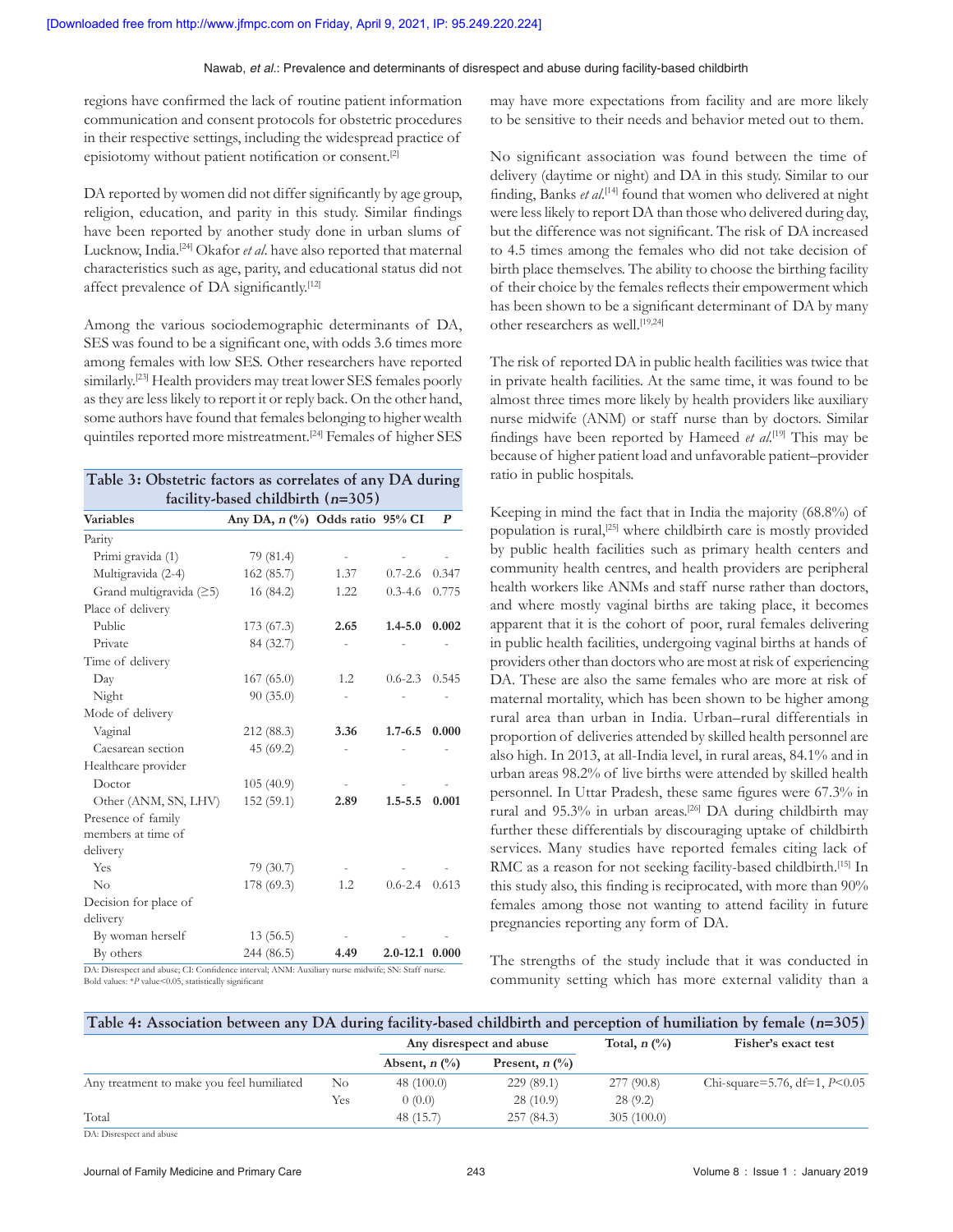regions have confirmed the lack of routine patient information communication and consent protocols for obstetric procedures in their respective settings, including the widespread practice of episiotomy without patient notification or consent.[2]

DA reported by women did not differ significantly by age group, religion, education, and parity in this study. Similar findings have been reported by another study done in urban slums of Lucknow, India.[24] Okafor *et al*. have also reported that maternal characteristics such as age, parity, and educational status did not affect prevalence of DA significantly.<sup>[12]</sup>

Among the various sociodemographic determinants of DA, SES was found to be a significant one, with odds 3.6 times more among females with low SES. Other researchers have reported similarly.<sup>[23]</sup> Health providers may treat lower SES females poorly as they are less likely to report it or reply back. On the other hand, some authors have found that females belonging to higher wealth quintiles reported more mistreatment.[24] Females of higher SES

|                         |                                 | Table 3: Obstetric factors as correlates of any DA during<br>facility-based childbirth $(n=305)$ |                      |       |  |  |  |
|-------------------------|---------------------------------|--------------------------------------------------------------------------------------------------|----------------------|-------|--|--|--|
| <b>Variables</b>        | Any DA, n (%) Odds ratio 95% CI |                                                                                                  |                      | P     |  |  |  |
| Parity                  |                                 |                                                                                                  |                      |       |  |  |  |
| Primi gravida (1)       | 79 (81.4)                       |                                                                                                  |                      |       |  |  |  |
| Multigravida (2-4)      | 162 (85.7)                      | 1.37                                                                                             | $0.7 - 2.6$          | 0.347 |  |  |  |
| Grand multigravida (≥5) | 16 (84.2)                       | 1.22                                                                                             | $0.3 - 4.6$          | 0.775 |  |  |  |
| Place of delivery       |                                 |                                                                                                  |                      |       |  |  |  |
| Public                  | 173(67.3)                       | 2.65                                                                                             | $1.4 - 5.0$          | 0.002 |  |  |  |
| Private                 | 84 (32.7)                       |                                                                                                  |                      |       |  |  |  |
| Time of delivery        |                                 |                                                                                                  |                      |       |  |  |  |
| Day                     | 167(65.0)                       | 1.2                                                                                              | $0.6 - 2.3$          | 0.545 |  |  |  |
| Night                   | 90(35.0)                        |                                                                                                  |                      |       |  |  |  |
| Mode of delivery        |                                 |                                                                                                  |                      |       |  |  |  |
| Vaginal                 | 212 (88.3)                      | 3.36                                                                                             | $1.7 - 6.5$          | 0.000 |  |  |  |
| Caesarean section       | 45(69.2)                        |                                                                                                  |                      |       |  |  |  |
| Healthcare provider     |                                 |                                                                                                  |                      |       |  |  |  |
| Doctor                  | 105(40.9)                       |                                                                                                  |                      |       |  |  |  |
| Other (ANM, SN, LHV)    | 152(59.1)                       | 2.89                                                                                             | $1.5 - 5.5$          | 0.001 |  |  |  |
| Presence of family      |                                 |                                                                                                  |                      |       |  |  |  |
| members at time of      |                                 |                                                                                                  |                      |       |  |  |  |
| delivery                |                                 |                                                                                                  |                      |       |  |  |  |
| Yes                     | 79(30.7)                        |                                                                                                  |                      |       |  |  |  |
| $\rm No$                | 178 (69.3)                      | 1.2                                                                                              | $0.6 - 2.4$          | 0.613 |  |  |  |
| Decision for place of   |                                 |                                                                                                  |                      |       |  |  |  |
| delivery                |                                 |                                                                                                  |                      |       |  |  |  |
| By woman herself        | 13(56.5)                        |                                                                                                  |                      |       |  |  |  |
| By others               | 244 (86.5)                      | 4.49                                                                                             | $2.0 - 12.1$ $0.000$ |       |  |  |  |

Bold values: \**P* value<0.05, statistically significant

may have more expectations from facility and are more likely to be sensitive to their needs and behavior meted out to them.

No significant association was found between the time of delivery (daytime or night) and DA in this study. Similar to our finding, Banks *et al*. [14] found that women who delivered at night were less likely to report DA than those who delivered during day, but the difference was not significant. The risk of DA increased to 4.5 times among the females who did not take decision of birth place themselves. The ability to choose the birthing facility of their choice by the females reflects their empowerment which has been shown to be a significant determinant of DA by many other researchers as well.[19,24]

The risk of reported DA in public health facilities was twice that in private health facilities. At the same time, it was found to be almost three times more likely by health providers like auxiliary nurse midwife (ANM) or staff nurse than by doctors. Similar findings have been reported by Hameed *et al*. [19] This may be because of higher patient load and unfavorable patient–provider ratio in public hospitals.

Keeping in mind the fact that in India the majority (68.8%) of population is rural,<sup>[25]</sup> where childbirth care is mostly provided by public health facilities such as primary health centers and community health centres, and health providers are peripheral health workers like ANMs and staff nurse rather than doctors, and where mostly vaginal births are taking place, it becomes apparent that it is the cohort of poor, rural females delivering in public health facilities, undergoing vaginal births at hands of providers other than doctors who are most at risk of experiencing DA. These are also the same females who are more at risk of maternal mortality, which has been shown to be higher among rural area than urban in India. Urban–rural differentials in proportion of deliveries attended by skilled health personnel are also high. In 2013, at all‑India level, in rural areas, 84.1% and in urban areas 98.2% of live births were attended by skilled health personnel. In Uttar Pradesh, these same figures were 67.3% in rural and 95.3% in urban areas.<sup>[26]</sup> DA during childbirth may further these differentials by discouraging uptake of childbirth services. Many studies have reported females citing lack of RMC as a reason for not seeking facility-based childbirth.<sup>[15]</sup> In this study also, this finding is reciprocated, with more than 90% females among those not wanting to attend facility in future pregnancies reporting any form of DA.

The strengths of the study include that it was conducted in community setting which has more external validity than a

| Table 4: Association between any DA during facility-based childbirth and perception of humiliation by female $(n=305)$ |     |                          |                             |                        |                                 |
|------------------------------------------------------------------------------------------------------------------------|-----|--------------------------|-----------------------------|------------------------|---------------------------------|
|                                                                                                                        |     | Any disrespect and abuse |                             | Total, $n \frac{0}{0}$ | Fisher's exact test             |
|                                                                                                                        |     | Absent, $n \binom{0}{0}$ | Present, $n$ $\binom{0}{0}$ |                        |                                 |
| Any treatment to make you feel humiliated                                                                              | No. | 48(100.0)                | 229(89.1)                   | 277(90.8)              | Chi-square=5.76, df=1, $P<0.05$ |
|                                                                                                                        | Yes | 0(0.0)                   | 28(10.9)                    | 28(9.2)                |                                 |
| Total                                                                                                                  |     | 48 (15.7)                | 257(84.3)                   | 305(100.0)             |                                 |

DA: Disrespect and abuse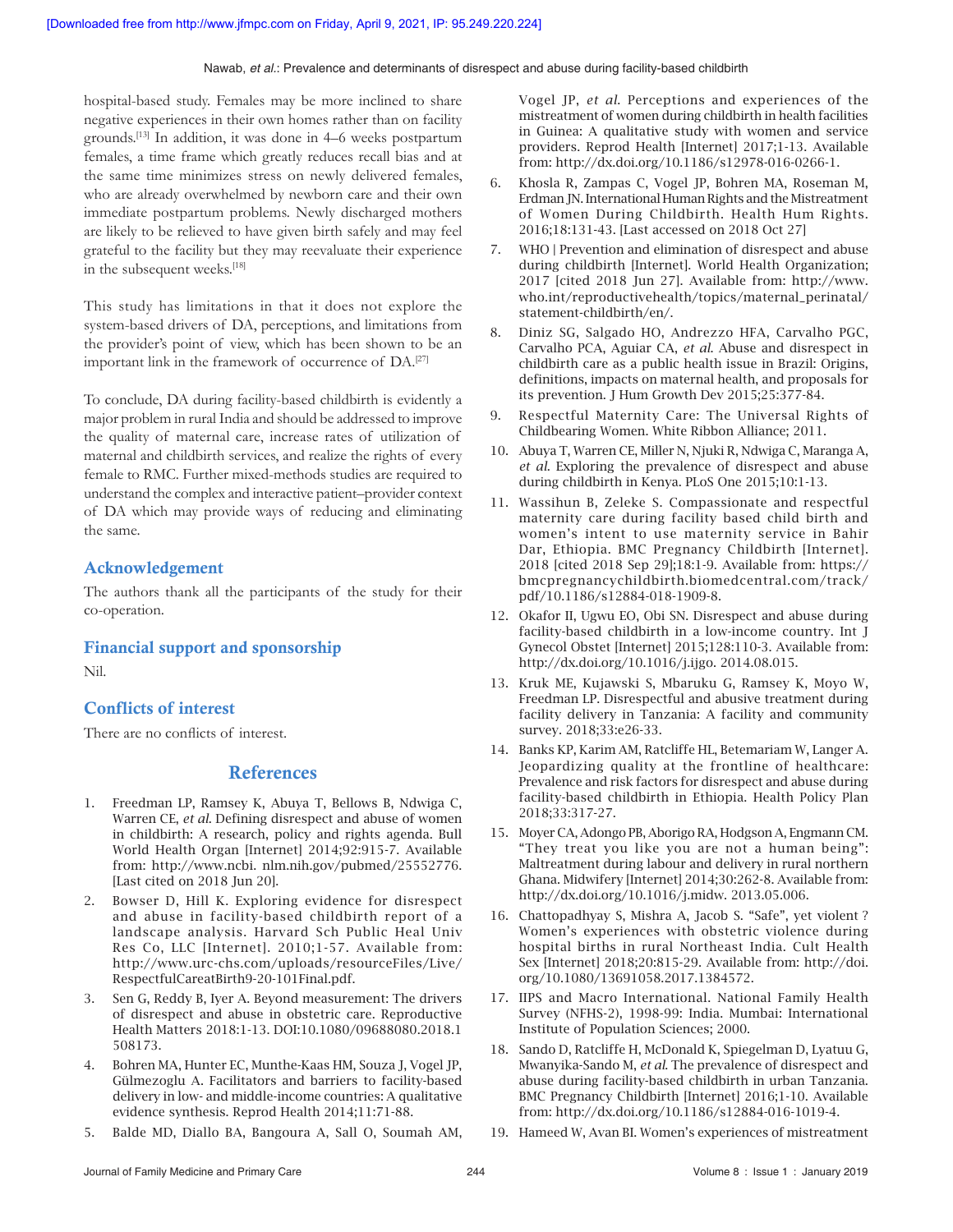hospital-based study. Females may be more inclined to share negative experiences in their own homes rather than on facility grounds.[13] In addition, it was done in 4–6 weeks postpartum females, a time frame which greatly reduces recall bias and at the same time minimizes stress on newly delivered females, who are already overwhelmed by newborn care and their own immediate postpartum problems. Newly discharged mothers are likely to be relieved to have given birth safely and may feel grateful to the facility but they may reevaluate their experience in the subsequent weeks.<sup>[18]</sup>

This study has limitations in that it does not explore the system‑based drivers of DA, perceptions, and limitations from the provider's point of view, which has been shown to be an important link in the framework of occurrence of DA.<sup>[27]</sup>

To conclude, DA during facility‑based childbirth is evidently a major problem in rural India and should be addressed to improve the quality of maternal care, increase rates of utilization of maternal and childbirth services, and realize the rights of every female to RMC. Further mixed-methods studies are required to understand the complex and interactive patient–provider context of DA which may provide ways of reducing and eliminating the same.

#### Acknowledgement

The authors thank all the participants of the study for their co‑operation.

Financial support and sponsorship

Nil.

#### Conflicts of interest

There are no conflicts of interest.

#### References

- 1. Freedman LP, Ramsey K, Abuya T, Bellows B, Ndwiga C, Warren CE, *et al*. Defining disrespect and abuse of women in childbirth: A research, policy and rights agenda. Bull World Health Organ [Internet] 2014;92:915-7. Available from: http://www.ncbi. nlm.nih.gov/pubmed/25552776. [Last cited on 2018 Jun 20].
- 2. Bowser D, Hill K. Exploring evidence for disrespect and abuse in facility‑based childbirth report of a landscape analysis. Harvard Sch Public Heal Univ Res Co, LLC [Internet]. 2010;1‑57. Available from: http://www.urc‑chs.com/uploads/resourceFiles/Live/ RespectfulCareatBirth9‑20‑101Final.pdf.
- 3. Sen G, Reddy B, Iyer A. Beyond measurement: The drivers of disrespect and abuse in obstetric care. Reproductive Health Matters 2018:1-13. DOI:10.1080/09688080.2018.1 508173.
- 4. Bohren MA, Hunter EC, Munthe‑Kaas HM, Souza J, Vogel JP, Gülmezoglu A. Facilitators and barriers to facility-based delivery in low‑ and middle‑income countries: A qualitative evidence synthesis. Reprod Health 2014;11:71‑88.
- 5. Balde MD, Diallo BA, Bangoura A, Sall O, Soumah AM,

Vogel JP, *et al*. Perceptions and experiences of the mistreatment of women during childbirth in health facilities in Guinea: A qualitative study with women and service providers. Reprod Health [Internet] 2017;1‑13. Available from: http://dx.doi.org/10.1186/s12978‑016‑0266‑1.

- 6. Khosla R, Zampas C, Vogel JP, Bohren MA, Roseman M, Erdman JN. International Human Rights and the Mistreatment of Women During Childbirth. Health Hum Rights. 2016;18:131-43. [Last accessed on 2018 Oct 27]
- 7. WHO | Prevention and elimination of disrespect and abuse during childbirth [Internet]. World Health Organization; 2017 [cited 2018 Jun 27]. Available from: http://www. who.int/reproductivehealth/topics/maternal\_perinatal/ statement‑childbirth/en/.
- 8. Diniz SG, Salgado HO, Andrezzo HFA, Carvalho PGC, Carvalho PCA, Aguiar CA, *et al*. Abuse and disrespect in childbirth care as a public health issue in Brazil: Origins, definitions, impacts on maternal health, and proposals for its prevention. J Hum Growth Dev 2015;25:377‑84.
- 9. Respectful Maternity Care: The Universal Rights of Childbearing Women. White Ribbon Alliance; 2011.
- 10. Abuya T, Warren CE, Miller N, Njuki R, Ndwiga C, Maranga A, *et al*. Exploring the prevalence of disrespect and abuse during childbirth in Kenya. PLoS One 2015;10:1‑13.
- 11. Wassihun B, Zeleke S. Compassionate and respectful maternity care during facility based child birth and women's intent to use maternity service in Bahir Dar, Ethiopia. BMC Pregnancy Childbirth [Internet]. 2018 [cited 2018 Sep 29];18:1‑9. Available from: https:// bmcpregnancychildbirth.biomedcentral.com/track/ pdf/10.1186/s12884‑018‑1909‑8.
- 12. Okafor II, Ugwu EO, Obi SN. Disrespect and abuse during facility-based childbirth in a low-income country. Int J Gynecol Obstet [Internet] 2015;128:110‑3. Available from: http://dx.doi.org/10.1016/j.ijgo. 2014.08.015.
- 13. Kruk ME, Kujawski S, Mbaruku G, Ramsey K, Moyo W, Freedman LP. Disrespectful and abusive treatment during facility delivery in Tanzania: A facility and community survey. 2018;33:e26‑33.
- 14. Banks KP, Karim AM, Ratcliffe HL, Betemariam W, Langer A. Jeopardizing quality at the frontline of healthcare: Prevalence and risk factors for disrespect and abuse during facility‑based childbirth in Ethiopia. Health Policy Plan 2018;33:317‑27.
- 15. Moyer CA, Adongo PB, Aborigo RA, Hodgson A, Engmann CM. "They treat you like you are not a human being": Maltreatment during labour and delivery in rural northern Ghana. Midwifery [Internet] 2014;30:262‑8. Available from: http://dx.doi.org/10.1016/j.midw. 2013.05.006.
- 16. Chattopadhyay S, Mishra A, Jacob S. "Safe", yet violent ? Women's experiences with obstetric violence during hospital births in rural Northeast India. Cult Health Sex [Internet] 2018;20:815‑29. Available from: http://doi. org/10.1080/13691058.2017.1384572.
- 17. IIPS and Macro International. National Family Health Survey (NFHS‑2), 1998‑99: India. Mumbai: International Institute of Population Sciences; 2000.
- 18. Sando D, Ratcliffe H, McDonald K, Spiegelman D, Lyatuu G, Mwanyika‑Sando M, *et al*. The prevalence of disrespect and abuse during facility‑based childbirth in urban Tanzania. BMC Pregnancy Childbirth [Internet] 2016;1‑10. Available from: http://dx.doi.org/10.1186/s12884‑016‑1019‑4.
- 19. Hameed W, Avan BI. Women's experiences of mistreatment